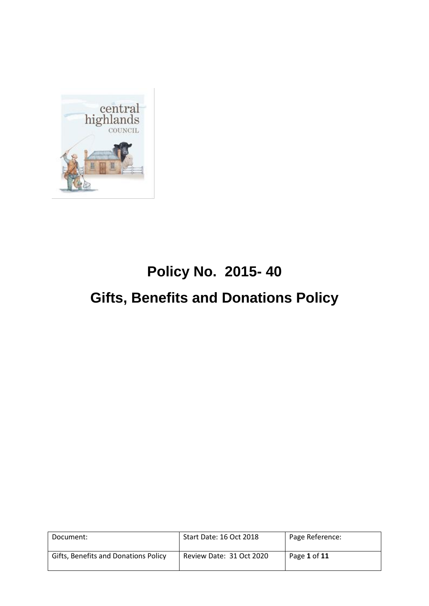

# **Policy No. 2015- 40 Gifts, Benefits and Donations Policy**

| Document:                            | Start Date: 16 Oct 2018  | Page Reference: |
|--------------------------------------|--------------------------|-----------------|
| Gifts, Benefits and Donations Policy | Review Date: 31 Oct 2020 | Page 1 of 11    |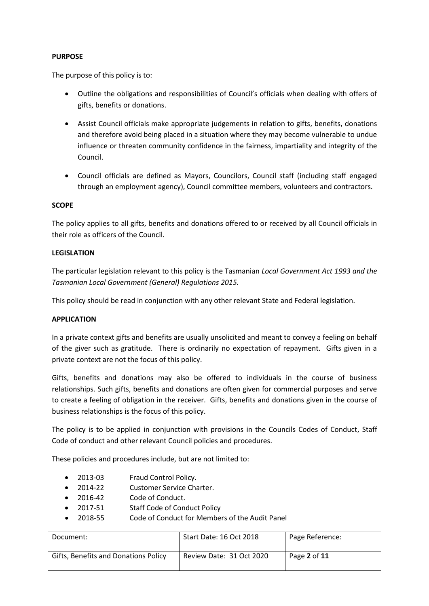#### **PURPOSE**

The purpose of this policy is to:

- Outline the obligations and responsibilities of Council's officials when dealing with offers of gifts, benefits or donations.
- Assist Council officials make appropriate judgements in relation to gifts, benefits, donations and therefore avoid being placed in a situation where they may become vulnerable to undue influence or threaten community confidence in the fairness, impartiality and integrity of the Council.
- Council officials are defined as Mayors, Councilors, Council staff (including staff engaged through an employment agency), Council committee members, volunteers and contractors.

#### **SCOPE**

The policy applies to all gifts, benefits and donations offered to or received by all Council officials in their role as officers of the Council.

#### **LEGISLATION**

The particular legislation relevant to this policy is the Tasmanian *Local Government Act 1993 and the Tasmanian Local Government (General) Regulations 2015.*

This policy should be read in conjunction with any other relevant State and Federal legislation.

#### **APPLICATION**

In a private context gifts and benefits are usually unsolicited and meant to convey a feeling on behalf of the giver such as gratitude. There is ordinarily no expectation of repayment. Gifts given in a private context are not the focus of this policy.

Gifts, benefits and donations may also be offered to individuals in the course of business relationships. Such gifts, benefits and donations are often given for commercial purposes and serve to create a feeling of obligation in the receiver. Gifts, benefits and donations given in the course of business relationships is the focus of this policy.

The policy is to be applied in conjunction with provisions in the Councils Codes of Conduct, Staff Code of conduct and other relevant Council policies and procedures.

These policies and procedures include, but are not limited to:

- 2013-03 Fraud Control Policy.
- 2014-22 Customer Service Charter.
- 2016-42 Code of Conduct.
- 2017-51 Staff Code of Conduct Policy
- 2018-55 Code of Conduct for Members of the Audit Panel

| Document:                            | Start Date: 16 Oct 2018  | Page Reference: |
|--------------------------------------|--------------------------|-----------------|
| Gifts, Benefits and Donations Policy | Review Date: 31 Oct 2020 | Page 2 of 11    |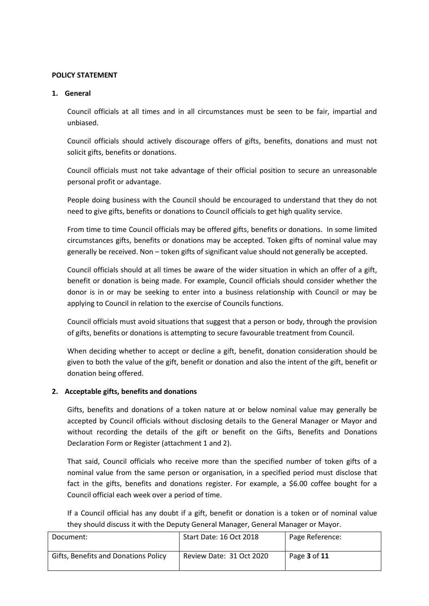#### **POLICY STATEMENT**

#### **1. General**

Council officials at all times and in all circumstances must be seen to be fair, impartial and unbiased.

Council officials should actively discourage offers of gifts, benefits, donations and must not solicit gifts, benefits or donations.

Council officials must not take advantage of their official position to secure an unreasonable personal profit or advantage.

People doing business with the Council should be encouraged to understand that they do not need to give gifts, benefits or donations to Council officials to get high quality service.

From time to time Council officials may be offered gifts, benefits or donations. In some limited circumstances gifts, benefits or donations may be accepted. Token gifts of nominal value may generally be received. Non – token gifts of significant value should not generally be accepted.

Council officials should at all times be aware of the wider situation in which an offer of a gift, benefit or donation is being made. For example, Council officials should consider whether the donor is in or may be seeking to enter into a business relationship with Council or may be applying to Council in relation to the exercise of Councils functions.

Council officials must avoid situations that suggest that a person or body, through the provision of gifts, benefits or donations is attempting to secure favourable treatment from Council.

When deciding whether to accept or decline a gift, benefit, donation consideration should be given to both the value of the gift, benefit or donation and also the intent of the gift, benefit or donation being offered.

# **2. Acceptable gifts, benefits and donations**

Gifts, benefits and donations of a token nature at or below nominal value may generally be accepted by Council officials without disclosing details to the General Manager or Mayor and without recording the details of the gift or benefit on the Gifts, Benefits and Donations Declaration Form or Register (attachment 1 and 2).

That said, Council officials who receive more than the specified number of token gifts of a nominal value from the same person or organisation, in a specified period must disclose that fact in the gifts, benefits and donations register. For example, a \$6.00 coffee bought for a Council official each week over a period of time.

If a Council official has any doubt if a gift, benefit or donation is a token or of nominal value they should discuss it with the Deputy General Manager, General Manager or Mayor.

| Document:                            | Start Date: 16 Oct 2018  | Page Reference:            |
|--------------------------------------|--------------------------|----------------------------|
| Gifts, Benefits and Donations Policy | Review Date: 31 Oct 2020 | Page <b>3</b> of <b>11</b> |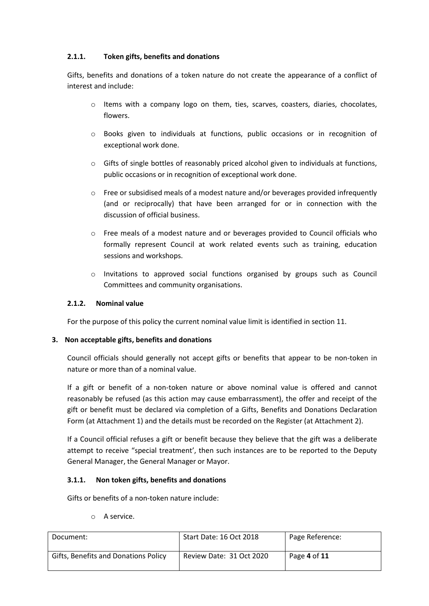# **2.1.1. Token gifts, benefits and donations**

Gifts, benefits and donations of a token nature do not create the appearance of a conflict of interest and include:

- $\circ$  Items with a company logo on them, ties, scarves, coasters, diaries, chocolates, flowers.
- o Books given to individuals at functions, public occasions or in recognition of exceptional work done.
- $\circ$  Gifts of single bottles of reasonably priced alcohol given to individuals at functions, public occasions or in recognition of exceptional work done.
- o Free or subsidised meals of a modest nature and/or beverages provided infrequently (and or reciprocally) that have been arranged for or in connection with the discussion of official business.
- o Free meals of a modest nature and or beverages provided to Council officials who formally represent Council at work related events such as training, education sessions and workshops.
- $\circ$  Invitations to approved social functions organised by groups such as Council Committees and community organisations.

# **2.1.2. Nominal value**

For the purpose of this policy the current nominal value limit is identified in section 11.

# **3. Non acceptable gifts, benefits and donations**

Council officials should generally not accept gifts or benefits that appear to be non-token in nature or more than of a nominal value.

If a gift or benefit of a non-token nature or above nominal value is offered and cannot reasonably be refused (as this action may cause embarrassment), the offer and receipt of the gift or benefit must be declared via completion of a Gifts, Benefits and Donations Declaration Form (at Attachment 1) and the details must be recorded on the Register (at Attachment 2).

If a Council official refuses a gift or benefit because they believe that the gift was a deliberate attempt to receive "special treatment', then such instances are to be reported to the Deputy General Manager, the General Manager or Mayor.

# **3.1.1. Non token gifts, benefits and donations**

Gifts or benefits of a non-token nature include:

o A service.

| Document:                            | Start Date: 16 Oct 2018  | Page Reference: |
|--------------------------------------|--------------------------|-----------------|
| Gifts, Benefits and Donations Policy | Review Date: 31 Oct 2020 | Page 4 of 11    |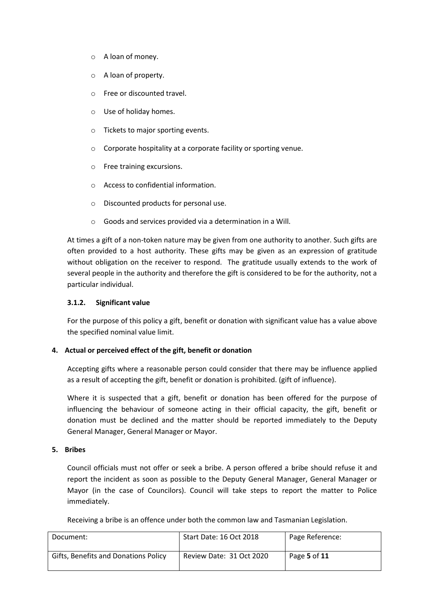- o A loan of money.
- o A loan of property.
- o Free or discounted travel.
- o Use of holiday homes.
- o Tickets to major sporting events.
- o Corporate hospitality at a corporate facility or sporting venue.
- o Free training excursions.
- o Access to confidential information.
- o Discounted products for personal use.
- o Goods and services provided via a determination in a Will.

At times a gift of a non-token nature may be given from one authority to another. Such gifts are often provided to a host authority. These gifts may be given as an expression of gratitude without obligation on the receiver to respond. The gratitude usually extends to the work of several people in the authority and therefore the gift is considered to be for the authority, not a particular individual.

#### **3.1.2. Significant value**

For the purpose of this policy a gift, benefit or donation with significant value has a value above the specified nominal value limit.

#### **4. Actual or perceived effect of the gift, benefit or donation**

Accepting gifts where a reasonable person could consider that there may be influence applied as a result of accepting the gift, benefit or donation is prohibited. (gift of influence).

Where it is suspected that a gift, benefit or donation has been offered for the purpose of influencing the behaviour of someone acting in their official capacity, the gift, benefit or donation must be declined and the matter should be reported immediately to the Deputy General Manager, General Manager or Mayor.

#### **5. Bribes**

Council officials must not offer or seek a bribe. A person offered a bribe should refuse it and report the incident as soon as possible to the Deputy General Manager, General Manager or Mayor (in the case of Councilors). Council will take steps to report the matter to Police immediately.

Receiving a bribe is an offence under both the common law and Tasmanian Legislation.

| Document:                            | Start Date: 16 Oct 2018  | Page Reference: |
|--------------------------------------|--------------------------|-----------------|
| Gifts, Benefits and Donations Policy | Review Date: 31 Oct 2020 | Page 5 of 11    |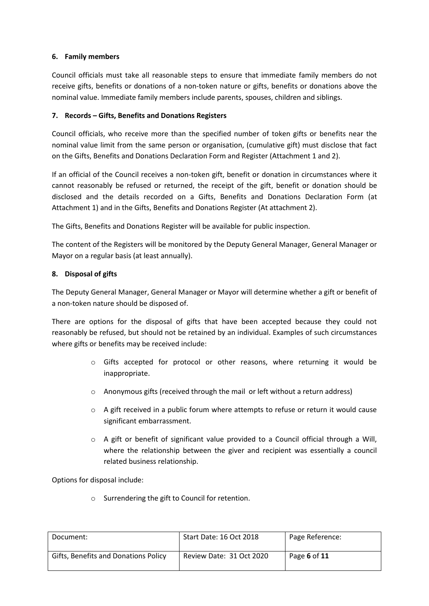# **6. Family members**

Council officials must take all reasonable steps to ensure that immediate family members do not receive gifts, benefits or donations of a non-token nature or gifts, benefits or donations above the nominal value. Immediate family members include parents, spouses, children and siblings.

# **7. Records – Gifts, Benefits and Donations Registers**

Council officials, who receive more than the specified number of token gifts or benefits near the nominal value limit from the same person or organisation, (cumulative gift) must disclose that fact on the Gifts, Benefits and Donations Declaration Form and Register (Attachment 1 and 2).

If an official of the Council receives a non-token gift, benefit or donation in circumstances where it cannot reasonably be refused or returned, the receipt of the gift, benefit or donation should be disclosed and the details recorded on a Gifts, Benefits and Donations Declaration Form (at Attachment 1) and in the Gifts, Benefits and Donations Register (At attachment 2).

The Gifts, Benefits and Donations Register will be available for public inspection.

The content of the Registers will be monitored by the Deputy General Manager, General Manager or Mayor on a regular basis (at least annually).

### **8. Disposal of gifts**

The Deputy General Manager, General Manager or Mayor will determine whether a gift or benefit of a non-token nature should be disposed of.

There are options for the disposal of gifts that have been accepted because they could not reasonably be refused, but should not be retained by an individual. Examples of such circumstances where gifts or benefits may be received include:

- o Gifts accepted for protocol or other reasons, where returning it would be inappropriate.
- o Anonymous gifts (received through the mail or left without a return address)
- $\circ$  A gift received in a public forum where attempts to refuse or return it would cause significant embarrassment.
- $\circ$  A gift or benefit of significant value provided to a Council official through a Will, where the relationship between the giver and recipient was essentially a council related business relationship.

Options for disposal include:

o Surrendering the gift to Council for retention.

| Document:                            | Start Date: 16 Oct 2018  | Page Reference: |
|--------------------------------------|--------------------------|-----------------|
| Gifts, Benefits and Donations Policy | Review Date: 31 Oct 2020 | Page 6 of 11    |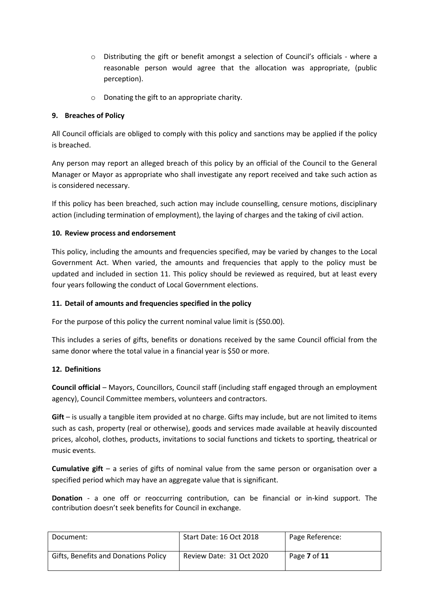- o Distributing the gift or benefit amongst a selection of Council's officials where a reasonable person would agree that the allocation was appropriate, (public perception).
- o Donating the gift to an appropriate charity.

# **9. Breaches of Policy**

All Council officials are obliged to comply with this policy and sanctions may be applied if the policy is breached.

Any person may report an alleged breach of this policy by an official of the Council to the General Manager or Mayor as appropriate who shall investigate any report received and take such action as is considered necessary.

If this policy has been breached, such action may include counselling, censure motions, disciplinary action (including termination of employment), the laying of charges and the taking of civil action.

# **10. Review process and endorsement**

This policy, including the amounts and frequencies specified, may be varied by changes to the Local Government Act. When varied, the amounts and frequencies that apply to the policy must be updated and included in section 11. This policy should be reviewed as required, but at least every four years following the conduct of Local Government elections.

# **11. Detail of amounts and frequencies specified in the policy**

For the purpose of this policy the current nominal value limit is (\$50.00).

This includes a series of gifts, benefits or donations received by the same Council official from the same donor where the total value in a financial year is \$50 or more.

#### **12. Definitions**

**Council official** – Mayors, Councillors, Council staff (including staff engaged through an employment agency), Council Committee members, volunteers and contractors.

**Gift** – is usually a tangible item provided at no charge. Gifts may include, but are not limited to items such as cash, property (real or otherwise), goods and services made available at heavily discounted prices, alcohol, clothes, products, invitations to social functions and tickets to sporting, theatrical or music events.

**Cumulative gift** – a series of gifts of nominal value from the same person or organisation over a specified period which may have an aggregate value that is significant.

**Donation** - a one off or reoccurring contribution, can be financial or in-kind support. The contribution doesn't seek benefits for Council in exchange.

| Document:                            | Start Date: 16 Oct 2018  | Page Reference: |
|--------------------------------------|--------------------------|-----------------|
| Gifts, Benefits and Donations Policy | Review Date: 31 Oct 2020 | Page 7 of 11    |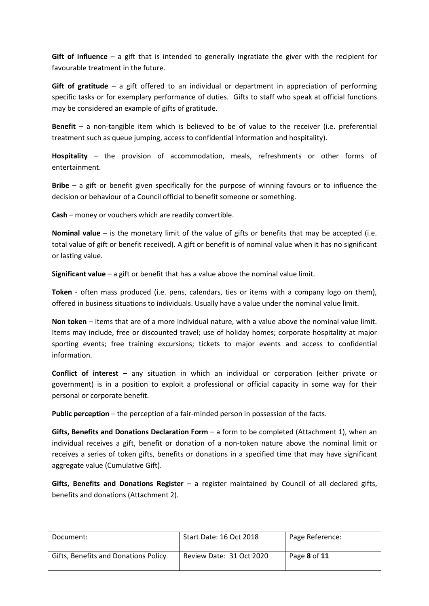**Gift of influence** – a gift that is intended to generally ingratiate the giver with the recipient for favourable treatment in the future.

**Gift of gratitude** – a gift offered to an individual or department in appreciation of performing specific tasks or for exemplary performance of duties. Gifts to staff who speak at official functions may be considered an example of gifts of gratitude.

**Benefit** – a non-tangible item which is believed to be of value to the receiver (i.e. preferential treatment such as queue jumping, access to confidential information and hospitality).

**Hospitality** – the provision of accommodation, meals, refreshments or other forms of entertainment.

**Bribe** – a gift or benefit given specifically for the purpose of winning favours or to influence the decision or behaviour of a Council official to benefit someone or something.

**Cash** – money or vouchers which are readily convertible.

**Nominal value** – is the monetary limit of the value of gifts or benefits that may be accepted (i.e. total value of gift or benefit received). A gift or benefit is of nominal value when it has no significant or lasting value.

**Significant value** – a gift or benefit that has a value above the nominal value limit.

**Token** - often mass produced (i.e. pens, calendars, ties or items with a company logo on them), offered in business situations to individuals. Usually have a value under the nominal value limit.

**Non token** – items that are of a more individual nature, with a value above the nominal value limit. Items may include, free or discounted travel; use of holiday homes; corporate hospitality at major sporting events; free training excursions; tickets to major events and access to confidential information.

**Conflict of interest** – any situation in which an individual or corporation (either private or government) is in a position to exploit a professional or official capacity in some way for their personal or corporate benefit.

**Public perception** – the perception of a fair-minded person in possession of the facts.

**Gifts, Benefits and Donations Declaration Form** – a form to be completed (Attachment 1), when an individual receives a gift, benefit or donation of a non-token nature above the nominal limit or receives a series of token gifts, benefits or donations in a specified time that may have significant aggregate value (Cumulative Gift).

**Gifts, Benefits and Donations Register** – a register maintained by Council of all declared gifts, benefits and donations (Attachment 2).

| Document:                            | Start Date: 16 Oct 2018  | Page Reference: |
|--------------------------------------|--------------------------|-----------------|
| Gifts, Benefits and Donations Policy | Review Date: 31 Oct 2020 | Page 8 of 11    |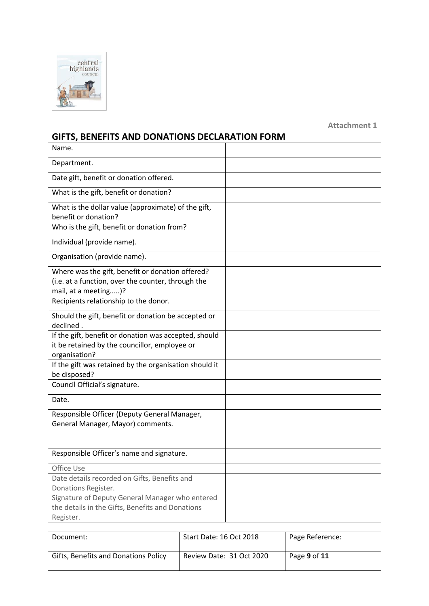

**Attachment 1**

# **GIFTS, BENEFITS AND DONATIONS DECLARATION FORM**

| Name.                                                                                                                          |  |
|--------------------------------------------------------------------------------------------------------------------------------|--|
| Department.                                                                                                                    |  |
| Date gift, benefit or donation offered.                                                                                        |  |
| What is the gift, benefit or donation?                                                                                         |  |
| What is the dollar value (approximate) of the gift,<br>benefit or donation?                                                    |  |
| Who is the gift, benefit or donation from?                                                                                     |  |
| Individual (provide name).                                                                                                     |  |
| Organisation (provide name).                                                                                                   |  |
| Where was the gift, benefit or donation offered?<br>(i.e. at a function, over the counter, through the<br>mail, at a meeting)? |  |
| Recipients relationship to the donor.                                                                                          |  |
| Should the gift, benefit or donation be accepted or<br>declined.                                                               |  |
| If the gift, benefit or donation was accepted, should<br>it be retained by the councillor, employee or<br>organisation?        |  |
| If the gift was retained by the organisation should it<br>be disposed?                                                         |  |
| Council Official's signature.                                                                                                  |  |
| Date.                                                                                                                          |  |
| Responsible Officer (Deputy General Manager,<br>General Manager, Mayor) comments.                                              |  |
| Responsible Officer's name and signature.                                                                                      |  |
| Office Use                                                                                                                     |  |
| Date details recorded on Gifts, Benefits and                                                                                   |  |
| Donations Register.                                                                                                            |  |
| Signature of Deputy General Manager who entered                                                                                |  |
| the details in the Gifts, Benefits and Donations                                                                               |  |
| Register.                                                                                                                      |  |

| Document:                            | Start Date: 16 Oct 2018  | Page Reference: |
|--------------------------------------|--------------------------|-----------------|
| Gifts, Benefits and Donations Policy | Review Date: 31 Oct 2020 | Page 9 of 11    |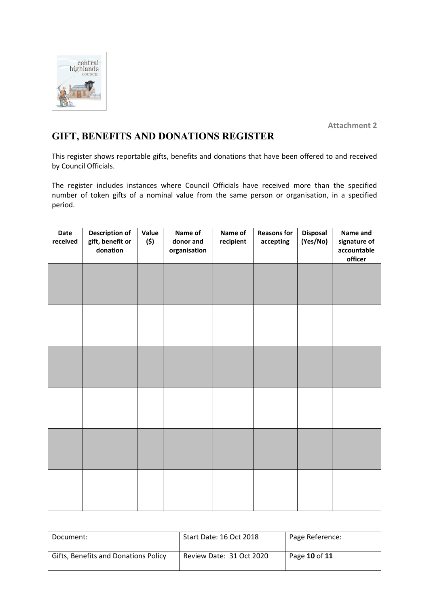

**Attachment 2**

# **GIFT, BENEFITS AND DONATIONS REGISTER**

This register shows reportable gifts, benefits and donations that have been offered to and received by Council Officials.

The register includes instances where Council Officials have received more than the specified number of token gifts of a nominal value from the same person or organisation, in a specified period.

| Date<br>received | <b>Description of</b><br>gift, benefit or<br>donation | Value<br>(\$) | Name of<br>donor and<br>organisation | Name of<br>recipient | <b>Reasons for</b><br>accepting | Disposal<br>(Yes/No) | Name and<br>signature of<br>accountable<br>officer |
|------------------|-------------------------------------------------------|---------------|--------------------------------------|----------------------|---------------------------------|----------------------|----------------------------------------------------|
|                  |                                                       |               |                                      |                      |                                 |                      |                                                    |
|                  |                                                       |               |                                      |                      |                                 |                      |                                                    |
|                  |                                                       |               |                                      |                      |                                 |                      |                                                    |
|                  |                                                       |               |                                      |                      |                                 |                      |                                                    |
|                  |                                                       |               |                                      |                      |                                 |                      |                                                    |
|                  |                                                       |               |                                      |                      |                                 |                      |                                                    |

| Document:                            | Start Date: 16 Oct 2018  | Page Reference: |
|--------------------------------------|--------------------------|-----------------|
| Gifts, Benefits and Donations Policy | Review Date: 31 Oct 2020 | Page 10 of 11   |